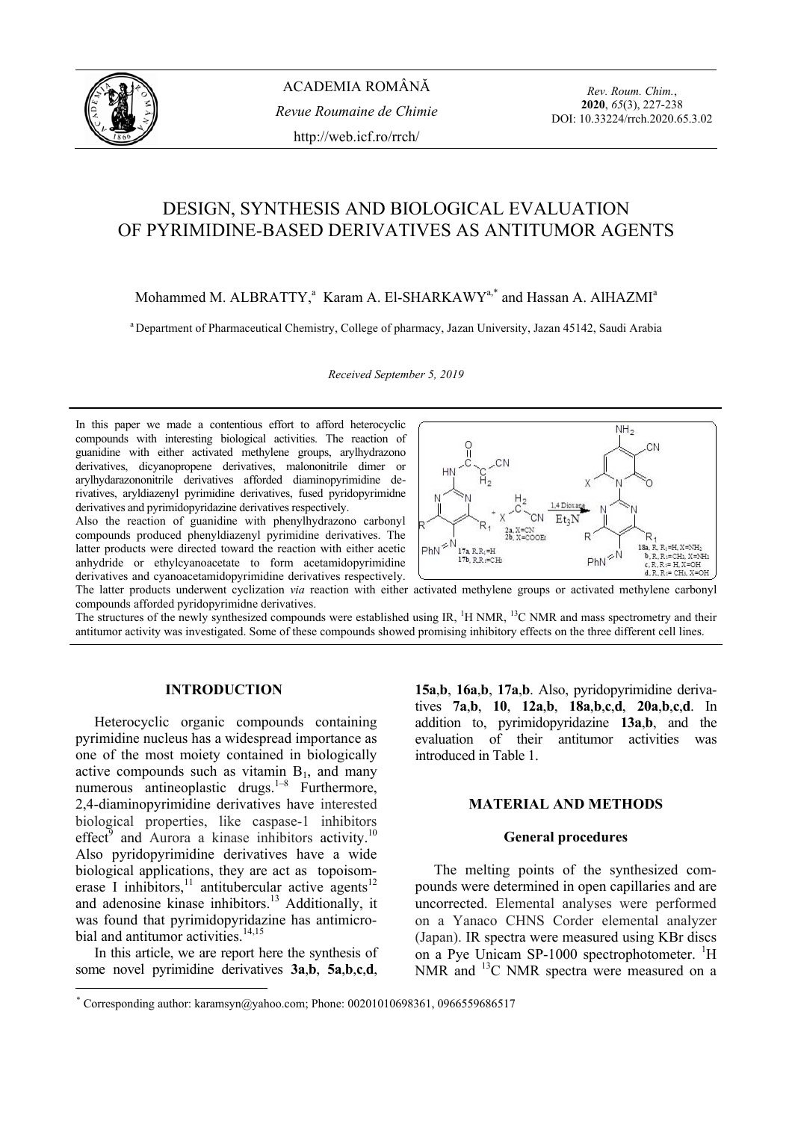

*Rev. Roum. Chim.*, **2020**, *65*(3), 227-238 DOI: 10.33224/rrch.2020.65.3.02

# DESIGN, SYNTHESIS AND BIOLOGICAL EVALUATION OF PYRIMIDINE-BASED DERIVATIVES AS ANTITUMOR AGENTS

Mohammed M. ALBRATTY,<sup>a</sup> Karam A. El-SHARKAWY<sup>a,\*</sup> and Hassan A. AlHAZMI<sup>a</sup>

<sup>a</sup> Department of Pharmaceutical Chemistry, College of pharmacy, Jazan University, Jazan 45142, Saudi Arabia

*Received September 5, 2019* 

In this paper we made a contentious effort to afford heterocyclic compounds with interesting biological activities. The reaction of guanidine with either activated methylene groups, arylhydrazono derivatives, dicyanopropene derivatives, malononitrile dimer or arylhydarazononitrile derivatives afforded diaminopyrimidine derivatives, aryldiazenyl pyrimidine derivatives, fused pyridopyrimidne derivatives and pyrimidopyridazine derivatives respectively.

Also the reaction of guanidine with phenylhydrazono carbonyl compounds produced phenyldiazenyl pyrimidine derivatives. The latter products were directed toward the reaction with either acetic anhydride or ethylcyanoacetate to form acetamidopyrimidine derivatives and cyanoacetamidopyrimidine derivatives respectively.



The latter products underwent cyclization *via* reaction with either activated methylene groups or activated methylene carbonyl compounds afforded pyridopyrimidne derivatives.

The structures of the newly synthesized compounds were established using IR, <sup>1</sup>H NMR, <sup>13</sup>C NMR and mass spectrometry and their antitumor activity was investigated. Some of these compounds showed promising inhibitory effects on the three different cell lines.

#### **INTRODUCTION\***

Heterocyclic organic compounds containing pyrimidine nucleus has a widespread importance as one of the most moiety contained in biologically active compounds such as vitamin  $B_1$ , and many numerous antineoplastic drugs.<sup> $1-8$ </sup> Furthermore, 2,4-diaminopyrimidine derivatives have interested biological properties, like caspase-1 inhibitors effect<sup>9</sup> and Aurora a kinase inhibitors activity.<sup>10</sup> Also pyridopyrimidine derivatives have a wide biological applications, they are act as topoisomerase I inhibitors,<sup>11</sup> antitubercular active agents<sup>12</sup> and adenosine kinase inhibitors.<sup>13</sup> Additionally, it was found that pyrimidopyridazine has antimicrobial and antitumor activities.<sup>14,15</sup>

In this article, we are report here the synthesis of some novel pyrimidine derivatives **3a**,**b**, **5a**,**b**,**c**,**d**,

l

**15a**,**b**, **16a**,**b**, **17a**,**b**. Also, pyridopyrimidine derivatives **7a**,**b**, **10**, **12a**,**b**, **18a**,**b**,**c**,**d**, **20a**,**b**,**c**,**d**. In addition to, pyrimidopyridazine **13a**,**b**, and the evaluation of their antitumor activities was introduced in Table 1.

## **MATERIAL AND METHODS**

## **General procedures**

The melting points of the synthesized compounds were determined in open capillaries and are uncorrected. Elemental analyses were performed on a Yanaco CHNS Corder elemental analyzer (Japan). IR spectra were measured using KBr discs on a Pye Unicam SP-1000 spectrophotometer. <sup>1</sup>H NMR and <sup>13</sup>C NMR spectra were measured on a

<sup>\*</sup> Corresponding author: karamsyn@yahoo.com; Phone: 00201010698361, 0966559686517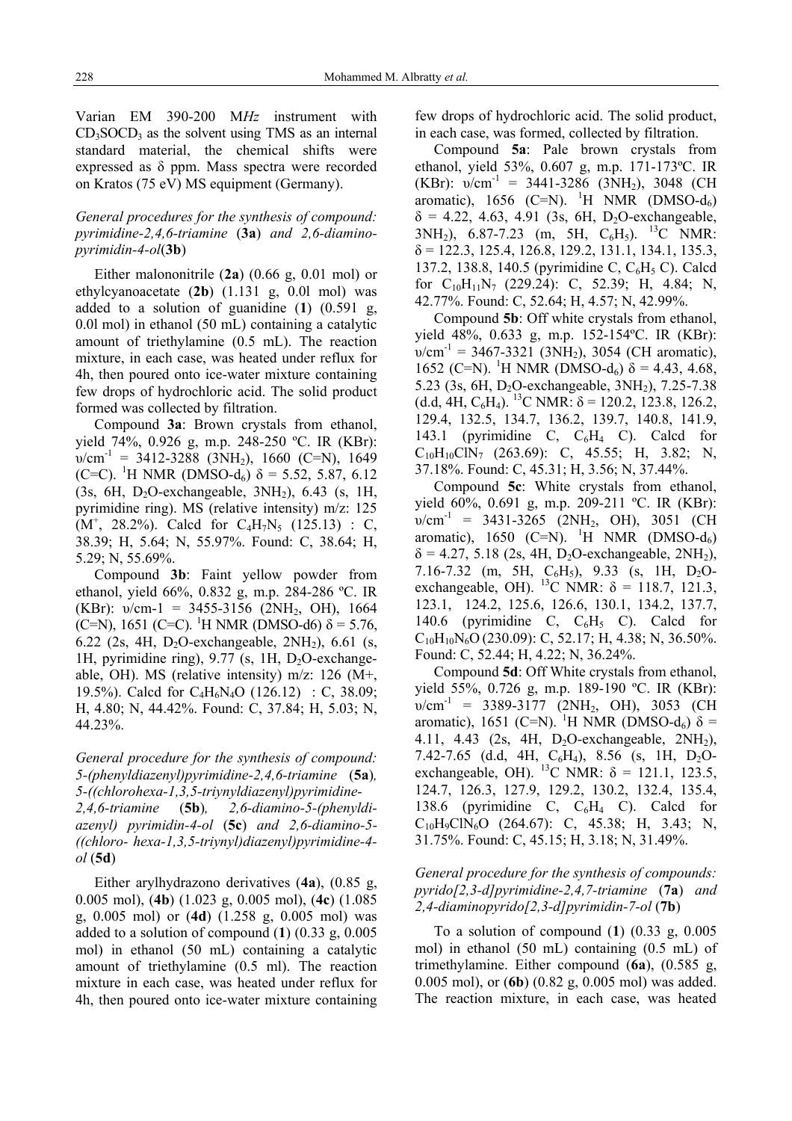Varian EM 390-200 M*Hz* instrument with  $CD<sub>3</sub>SOCD<sub>3</sub>$  as the solvent using TMS as an internal standard material, the chemical shifts were expressed as δ ppm. Mass spectra were recorded on Kratos (75 eV) MS equipment (Germany).

# *General procedures for the synthesis of compound: pyrimidine-2,4,6-triamine* (**3a**) *and 2,6-diaminopyrimidin-4-ol*(**3b**)

Either malononitrile (**2a**) (0.66 g, 0.01 mol) or ethylcyanoacetate (**2b**) (1.131 g, 0.0l mol) was added to a solution of guanidine (**1**) (0.591 g, 0.0l mol) in ethanol (50 mL) containing a catalytic amount of triethylamine (0.5 mL). The reaction mixture, in each case, was heated under reflux for 4h, then poured onto ice-water mixture containing few drops of hydrochloric acid. The solid product formed was collected by filtration.

Compound **3a**: Brown crystals from ethanol, yield 74%, 0.926 g, m.p. 248-250 ºC. IR (KBr):  $v/cm^{-1}$  = 3412-3288 (3NH<sub>2</sub>), 1660 (C=N), 1649 (C=C). <sup>1</sup>H NMR (DMSO-d<sub>6</sub>)  $\delta$  = 5.52, 5.87, 6.12 (3s, 6H, D<sub>2</sub>O-exchangeable,  $3NH_2$ ), 6.43 (s, 1H, pyrimidine ring). MS (relative intensity) m/z: 125  $(M^+$ , 28.2%). Calcd for C<sub>4</sub>H<sub>7</sub>N<sub>5</sub> (125.13) : C, 38.39; H, 5.64; N, 55.97%. Found: C, 38.64; H, 5.29; N, 55.69%.

Compound **3b**: Faint yellow powder from ethanol, yield 66%, 0.832 g, m.p. 284-286 ºC. IR (KBr):  $v/cm-1 = 3455-3156$  (2NH<sub>2</sub>, OH), 1664 (C=N), 1651 (C=C). <sup>1</sup>H NMR (DMSO-d6)  $\delta$  = 5.76, 6.22 (2s, 4H,  $D_2O$ -exchangeable,  $2NH_2$ ), 6.61 (s, 1H, pyrimidine ring),  $9.77$  (s, 1H, D<sub>2</sub>O-exchangeable, OH). MS (relative intensity) m/z: 126 (M+, 19.5%). Calcd for C4H6N4O (126.12) : C, 38.09; H, 4.80; N, 44.42%. Found: C, 37.84; H, 5.03; N, 44.23%.

*General procedure for the synthesis of compound: 5-(phenyldiazenyl)pyrimidine-2,4,6-triamine* (**5a**)*, 5-((chlorohexa-1,3,5-triynyldiazenyl)pyrimidine-2,4,6-triamine* (**5b**)*, 2,6-diamino-5-(phenyldiazenyl) pyrimidin-4-ol* (**5c**) *and 2,6-diamino-5- ((chloro- hexa-1,3,5-triynyl)diazenyl)pyrimidine-4 ol* (**5d**)

Either arylhydrazono derivatives (**4a**), (0.85 g, 0.005 mol), (**4b**) (1.023 g, 0.005 mol), (**4c**) (1.085 g, 0.005 mol) or (**4d**) (1.258 g, 0.005 mol) was added to a solution of compound (**1**) (0.33 g, 0.005 mol) in ethanol (50 mL) containing a catalytic amount of triethylamine (0.5 ml). The reaction mixture in each case, was heated under reflux for 4h, then poured onto ice-water mixture containing few drops of hydrochloric acid. The solid product, in each case, was formed, collected by filtration.

Compound **5a**: Pale brown crystals from ethanol, yield 53%, 0.607 g, m.p. 171-173ºC. IR (KBr):  $v/cm^{-1}$  = 3441-3286 (3NH<sub>2</sub>), 3048 (CH) aromatic), 1656 (C=N). <sup>1</sup>H NMR (DMSO-d<sub>6</sub>)  $\delta = 4.22, 4.63, 4.91$  (3s, 6H, D<sub>2</sub>O-exchangeable,  $3NH_2$ ), 6.87-7.23 (m, 5H, C<sub>6</sub>H<sub>5</sub>). <sup>13</sup>C NMR:  $\delta$  = 122.3, 125.4, 126.8, 129.2, 131.1, 134.1, 135.3, 137.2, 138.8, 140.5 (pyrimidine C, C<sub>6</sub>H<sub>5</sub> C). Calcd for  $C_{10}H_{11}N_7$  (229.24): C, 52.39; H, 4.84; N, 42.77%. Found: C, 52.64; H, 4.57; N, 42.99%.

Compound **5b**: Off white crystals from ethanol, yield 48%, 0.633 g, m.p. 152-154ºC. IR (KBr):  $v/cm^{-1}$  = 3467-3321 (3NH<sub>2</sub>), 3054 (CH aromatic), 1652 (C=N). <sup>1</sup>H NMR (DMSO-d<sub>6</sub>)  $\delta$  = 4.43, 4.68, 5.23 (3s, 6H, D<sub>2</sub>O-exchangeable, 3NH<sub>2</sub>), 7.25-7.38 (d.d, 4H,  $C_6H_4$ ). <sup>13</sup>C NMR:  $\delta$  = 120.2, 123.8, 126.2, 129.4, 132.5, 134.7, 136.2, 139.7, 140.8, 141.9, 143.1 (pyrimidine C,  $C_6H_4$  C). Calcd for  $C_{10}H_{10}CN_7$  (263.69): C, 45.55; H, 3.82; N, 37.18%. Found: C, 45.31; H, 3.56; N, 37.44%.

Compound **5c**: White crystals from ethanol, yield 60%, 0.691 g, m.p. 209-211 ºC. IR (KBr):  $v/cm^{-1}$  = 3431-3265 (2NH<sub>2</sub>, OH), 3051 (CH) aromatic), 1650 (C=N). <sup>1</sup>H NMR (DMSO-d<sub>6</sub>)  $\delta$  = 4.27, 5.18 (2s, 4H, D<sub>2</sub>O-exchangeable, 2NH<sub>2</sub>), 7.16-7.32 (m, 5H, C<sub>6</sub>H<sub>5</sub>), 9.33 (s, 1H, D<sub>2</sub>Oexchangeable, OH). <sup>13</sup>C NMR:  $\delta$  = 118.7, 121.3, 123.1, 124.2, 125.6, 126.6, 130.1, 134.2, 137.7, 140.6 (pyrimidine C,  $C_6H_5$  C). Calcd for  $C_{10}H_{10}N_6O (230.09)$ : C, 52.17; H, 4.38; N, 36.50%. Found: C, 52.44; H, 4.22; N, 36.24%.

Compound **5d**: Off White crystals from ethanol, yield 55%, 0.726 g, m.p. 189-190 ºC. IR (KBr):  $v/cm^{-1}$  = 3389-3177 (2NH<sub>2</sub>, OH), 3053 (CH) aromatic), 1651 (C=N). <sup>1</sup>H NMR (DMSO-d<sub>6</sub>) δ = 4.11, 4.43 (2s, 4H,  $D_2O$ -exchangeable,  $2NH_2$ ), 7.42-7.65 (d.d, 4H, C<sub>6</sub>H<sub>4</sub>), 8.56 (s, 1H, D<sub>2</sub>Oexchangeable, OH). <sup>13</sup>C NMR:  $\delta = 121.1, 123.5,$ 124.7, 126.3, 127.9, 129.2, 130.2, 132.4, 135.4, 138.6 (pyrimidine C, C6H4 C). Calcd for  $C_{10}H_9C/N_6O$  (264.67): C, 45.38; H, 3.43; N, 31.75%. Found: C, 45.15; H, 3.18; N, 31.49%.

## *General procedure for the synthesis of compounds: pyrido[2,3-d]pyrimidine-2,4,7-triamine* (**7a**) *and 2,4-diaminopyrido[2,3-d]pyrimidin-7-ol* (**7b**)

To a solution of compound (**1**) (0.33 g, 0.005 mol) in ethanol (50 mL) containing (0.5 mL) of trimethylamine. Either compound (**6a**), (0.585 g, 0.005 mol), or (**6b**) (0.82 g, 0.005 mol) was added. The reaction mixture, in each case, was heated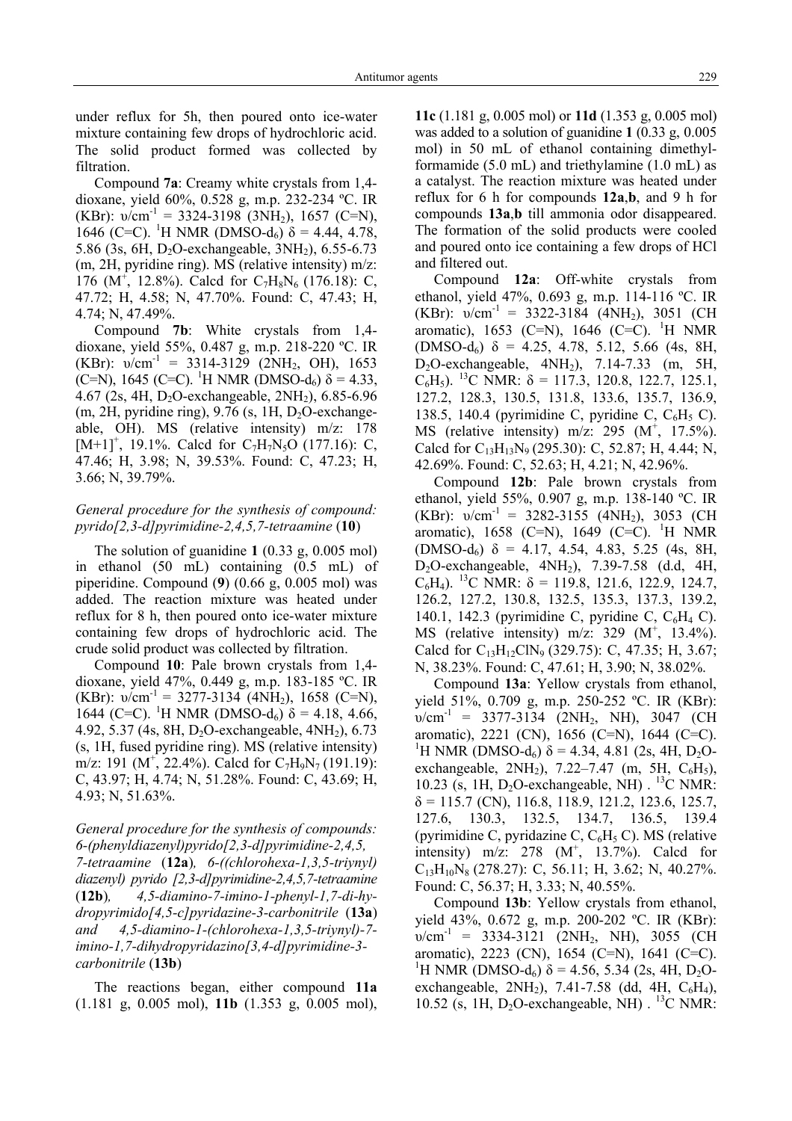under reflux for 5h, then poured onto ice-water mixture containing few drops of hydrochloric acid. The solid product formed was collected by filtration.

Compound **7a**: Creamy white crystals from 1,4 dioxane, yield 60%, 0.528 g, m.p. 232-234 ºC. IR (KBr):  $v/cm^{-1} = 3324-3198$  (3NH<sub>2</sub>), 1657 (C=N), 1646 (C=C). <sup>1</sup>H NMR (DMSO-d<sub>6</sub>)  $\delta$  = 4.44, 4.78, 5.86 (3s, 6H, D<sub>2</sub>O-exchangeable, 3NH<sub>2</sub>), 6.55-6.73 (m, 2H, pyridine ring). MS (relative intensity) m/z: 176 (M<sup>+</sup>, 12.8%). Calcd for  $C_7H_8N_6$  (176.18): C, 47.72; H, 4.58; N, 47.70%. Found: C, 47.43; H, 4.74; N, 47.49%.

Compound **7b**: White crystals from 1,4 dioxane, yield 55%, 0.487 g, m.p. 218-220 ºC. IR (KBr):  $v/cm^{-1}$  = 3314-3129 (2NH<sub>2</sub>, OH), 1653 (C=N), 1645 (C=C). <sup>1</sup>H NMR (DMSO-d<sub>6</sub>)  $\delta$  = 4.33, 4.67 (2s, 4H,  $D_2O$ -exchangeable,  $2NH_2$ ), 6.85-6.96 (m, 2H, pyridine ring),  $9.76$  (s, 1H, D<sub>2</sub>O-exchangeable, OH). MS (relative intensity) m/z: 178  $[M+1]^+$ , 19.1%. Calcd for C<sub>7</sub>H<sub>7</sub>N<sub>5</sub>O (177.16): C, 47.46; H, 3.98; N, 39.53%. Found: C, 47.23; H, 3.66; N, 39.79%.

## *General procedure for the synthesis of compound: pyrido[2,3-d]pyrimidine-2,4,5,7-tetraamine* (**10**)

The solution of guanidine **1** (0.33 g, 0.005 mol) in ethanol (50 mL) containing (0.5 mL) of piperidine. Compound (**9**) (0.66 g, 0.005 mol) was added. The reaction mixture was heated under reflux for 8 h, then poured onto ice-water mixture containing few drops of hydrochloric acid. The crude solid product was collected by filtration.

Compound **10**: Pale brown crystals from 1,4 dioxane, yield 47%, 0.449 g, m.p. 183-185 ºC. IR (KBr):  $v/cm^{-1} = 3277-3134$  (4NH<sub>2</sub>), 1658 (C=N),  $1644$  (C=C). <sup>1</sup>H NMR (DMSO-d<sub>6</sub>)  $\delta$  = 4.18, 4.66, 4.92, 5.37 (4s, 8H, D2O-exchangeable, 4NH2), 6.73 (s, 1H, fused pyridine ring). MS (relative intensity) m/z: 191 (M<sup>+</sup>, 22.4%). Calcd for C<sub>7</sub>H<sub>9</sub>N<sub>7</sub> (191.19): C, 43.97; H, 4.74; N, 51.28%. Found: C, 43.69; H, 4.93; N, 51.63%.

*General procedure for the synthesis of compounds: 6-(phenyldiazenyl)pyrido[2,3-d]pyrimidine-2,4,5, 7-tetraamine* (**12a**)*, 6-((chlorohexa-1,3,5-triynyl) diazenyl) pyrido [2,3-d]pyrimidine-2,4,5,7-tetraamine*  (**12b**)*, 4,5-diamino-7-imino-1-phenyl-1,7-di-hydropyrimido[4,5-c]pyridazine-3-carbonitrile* (**13a**) *and 4,5-diamino-1-(chlorohexa-1,3,5-triynyl)-7 imino-1,7-dihydropyridazino[3,4-d]pyrimidine-3 carbonitrile* (**13b**)

The reactions began, either compound **11a** (1.181 g, 0.005 mol), **11b** (1.353 g, 0.005 mol), **11c** (1.181 g, 0.005 mol) or **11d** (1.353 g, 0.005 mol) was added to a solution of guanidine **1** (0.33 g, 0.005 mol) in 50 mL of ethanol containing dimethylformamide (5.0 mL) and triethylamine (1.0 mL) as a catalyst. The reaction mixture was heated under reflux for 6 h for compounds **12a**,**b**, and 9 h for compounds **13a**,**b** till ammonia odor disappeared. The formation of the solid products were cooled and poured onto ice containing a few drops of HCl and filtered out.

Compound **12a**: Off-white crystals from ethanol, yield 47%, 0.693 g, m.p. 114-116 ºC. IR (KBr):  $v/cm^{-1}$  = 3322-3184 (4NH<sub>2</sub>), 3051 (CH) aromatic), 1653 (C=N), 1646 (C=C). <sup>1</sup>H NMR (DMSO-d<sub>6</sub>)  $\delta$  = 4.25, 4.78, 5.12, 5.66 (4s, 8H, D<sub>2</sub>O-exchangeable, 4NH<sub>2</sub>), 7.14-7.33 (m, 5H, C<sub>6</sub>H<sub>5</sub>). <sup>13</sup>C NMR: δ = 117.3, 120.8, 122.7, 125.1, 127.2, 128.3, 130.5, 131.8, 133.6, 135.7, 136.9, 138.5, 140.4 (pyrimidine C, pyridine C,  $C_6H_5$  C). MS (relative intensity)  $m/z$ : 295 (M<sup>+</sup>, 17.5%). Calcd for  $C_{13}H_{13}N_9$  (295.30): C, 52.87; H, 4.44; N, 42.69%. Found: C, 52.63; H, 4.21; N, 42.96%.

Compound **12b**: Pale brown crystals from ethanol, yield 55%, 0.907 g, m.p. 138-140 ºC. IR (KBr):  $v/cm^{-1}$  = 3282-3155 (4NH<sub>2</sub>), 3053 (CH) aromatic), 1658 (C=N), 1649 (C=C). <sup>1</sup>H NMR (DMSO-d<sub>6</sub>)  $\delta$  = 4.17, 4.54, 4.83, 5.25 (4s, 8H, D2O-exchangeable, 4NH2), 7.39-7.58 (d.d, 4H, C<sub>6</sub>H<sub>4</sub>). <sup>13</sup>C NMR: δ = 119.8, 121.6, 122.9, 124.7, 126.2, 127.2, 130.8, 132.5, 135.3, 137.3, 139.2, 140.1, 142.3 (pyrimidine C, pyridine C, C6H4 C). MS (relative intensity)  $m/z$ : 329 (M<sup>+</sup>, 13.4%). Calcd for  $C_{13}H_{12}CN_9$  (329.75): C, 47.35; H, 3.67; N, 38.23%. Found: C, 47.61; H, 3.90; N, 38.02%.

Compound **13a**: Yellow crystals from ethanol, yield 51%, 0.709 g, m.p. 250-252 ºC. IR (KBr):  $v/cm^{-1}$  = 3377-3134 (2NH<sub>2</sub>, NH), 3047 (CH) aromatic), 2221 (CN), 1656 (C=N), 1644 (C=C). <sup>1</sup>H NMR (DMSO-d<sub>6</sub>)  $\delta$  = 4.34, 4.81 (2s, 4H, D<sub>2</sub>Oexchangeable,  $2NH_2$ ),  $7.22-7.47$  (m, 5H,  $C_6H_5$ ), 10.23 (s, 1H,  $D_2O$ -exchangeable, NH) . <sup>13</sup>C NMR:  $\delta$  = 115.7 (CN), 116.8, 118.9, 121.2, 123.6, 125.7, 127.6, 130.3, 132.5, 134.7, 136.5, 139.4 (pyrimidine C, pyridazine C,  $C_6H_5$  C). MS (relative intensity)  $m/z$ : 278 ( $M^+$ , 13.7%). Calcd for  $C_{13}H_{10}N_8$  (278.27): C, 56.11; H, 3.62; N, 40.27%. Found: C, 56.37; H, 3.33; N, 40.55%.

Compound **13b**: Yellow crystals from ethanol, yield 43%, 0.672 g, m.p. 200-202 ºC. IR (KBr):  $v/cm^{-1}$  = 3334-3121 (2NH<sub>2</sub>, NH), 3055 (CH) aromatic), 2223 (CN), 1654 (C=N), 1641 (C=C). <sup>1</sup>H NMR (DMSO-d<sub>6</sub>) δ = 4.56, 5.34 (2s, 4H, D<sub>2</sub>Oexchangeable,  $2NH_2$ ),  $7.41-7.58$  (dd,  $4H$ ,  $C_6H_4$ ), 10.52 (s, 1H,  $D_2O$ -exchangeable, NH) . <sup>13</sup>C NMR: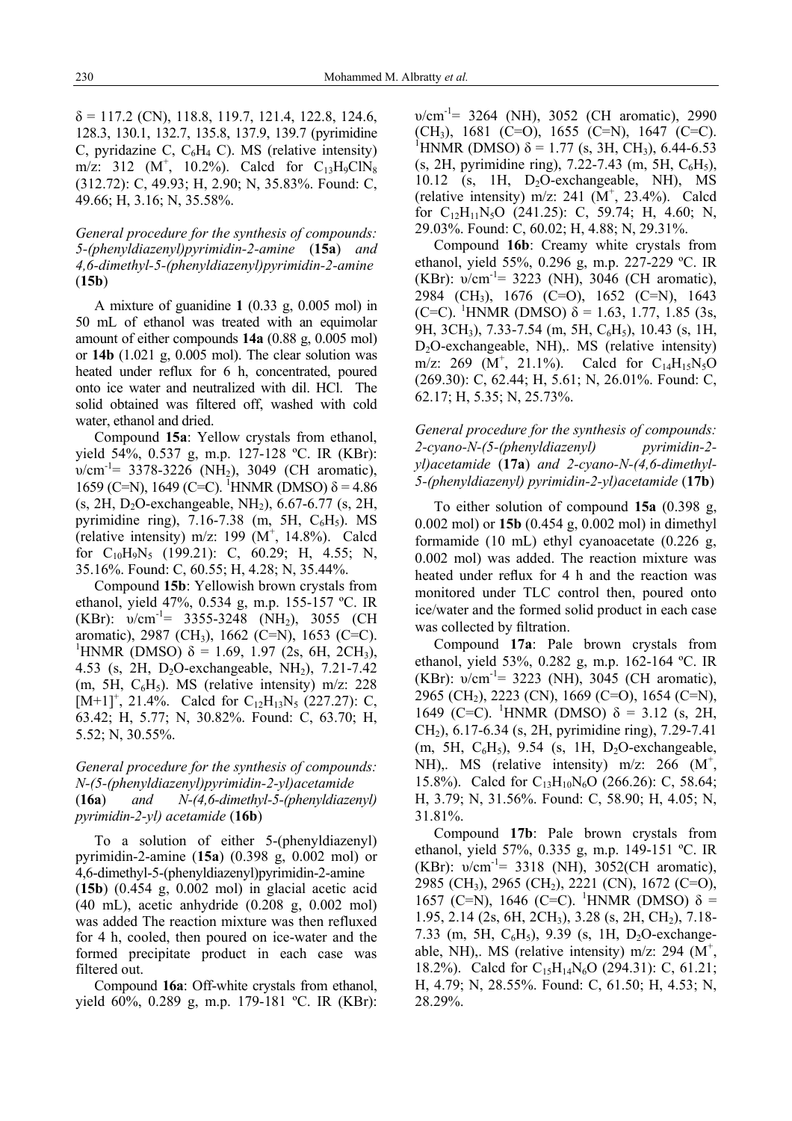$\delta$  = 117.2 (CN), 118.8, 119.7, 121.4, 122.8, 124.6, 128.3, 130.1, 132.7, 135.8, 137.9, 139.7 (pyrimidine C, pyridazine C,  $C_6H_4$  C). MS (relative intensity) m/z: 312 (M<sup>+</sup>, 10.2%). Calcd for  $C_{13}H_9C1N_8$ (312.72): C, 49.93; H, 2.90; N, 35.83%. Found: C, 49.66; H, 3.16; N, 35.58%.

*General procedure for the synthesis of compounds: 5-(phenyldiazenyl)pyrimidin-2-amine* (**15a**) *and 4,6-dimethyl-5-(phenyldiazenyl)pyrimidin-2-amine*  (**15b**)

A mixture of guanidine **1** (0.33 g, 0.005 mol) in 50 mL of ethanol was treated with an equimolar amount of either compounds **14a** (0.88 g, 0.005 mol) or **14b** (1.021 g, 0.005 mol). The clear solution was heated under reflux for 6 h, concentrated, poured onto ice water and neutralized with dil. HCl. The solid obtained was filtered off, washed with cold water, ethanol and dried.

Compound **15a**: Yellow crystals from ethanol, yield 54%, 0.537 g, m.p. 127-128 ºC. IR (KBr):  $v/cm^{-1}$ = 3378-3226 (NH<sub>2</sub>), 3049 (CH aromatic), 1659 (C=N), 1649 (C=C). <sup>1</sup>HNMR (DMSO)  $\delta$  = 4.86 (s, 2H, D<sub>2</sub>O-exchangeable, NH<sub>2</sub>),  $6.67-6.77$  (s, 2H, pyrimidine ring),  $7.16 - 7.38$  (m,  $5H$ ,  $C_6H_5$ ). MS (relative intensity) m/z: 199  $(M^+, 14.8\%)$ . Calcd for C10H9N5 (199.21): C, 60.29; H, 4.55; N, 35.16%. Found: C, 60.55; H, 4.28; N, 35.44%.

Compound **15b**: Yellowish brown crystals from ethanol, yield 47%, 0.534 g, m.p. 155-157 ºC. IR (KBr):  $v/cm^{-1}$ = 3355-3248 (NH<sub>2</sub>), 3055 (CH) aromatic), 2987 (CH3), 1662 (C=N), 1653 (C=C). <sup>1</sup>HNMR (DMSO) δ = 1.69, 1.97 (2s, 6H, 2CH<sub>3</sub>), 4.53 (s, 2H,  $D_2O$ -exchangeable, NH<sub>2</sub>), 7.21-7.42 (m, 5H,  $C_6H_5$ ). MS (relative intensity) m/z: 228  $[M+1]^+, 21.4\%$ . Calcd for C<sub>12</sub>H<sub>13</sub>N<sub>5</sub> (227.27): C, 63.42; H, 5.77; N, 30.82%. Found: C, 63.70; H, 5.52; N, 30.55%.

## *General procedure for the synthesis of compounds: N-(5-(phenyldiazenyl)pyrimidin-2-yl)acetamide*  (**16a**) *and N-(4,6-dimethyl-5-(phenyldiazenyl) pyrimidin-2-yl) acetamide* (**16b**)

To a solution of either 5-(phenyldiazenyl) pyrimidin-2-amine (**15a**) (0.398 g, 0.002 mol) or 4,6-dimethyl-5-(phenyldiazenyl)pyrimidin-2-amine (**15b**) (0.454 g, 0.002 mol) in glacial acetic acid (40 mL), acetic anhydride (0.208 g, 0.002 mol) was added The reaction mixture was then refluxed for 4 h, cooled, then poured on ice-water and the formed precipitate product in each case was filtered out.

Compound **16a**: Off-white crystals from ethanol, yield 60%, 0.289 g, m.p. 179-181 ºC. IR (KBr):  $v/cm^{-1}$ = 3264 (NH), 3052 (CH aromatic), 2990  $(CH_3)$ , 1681 (C=O), 1655 (C=N), 1647 (C=C). <sup>1</sup>HNMR (DMSO)  $\delta$  = 1.77 (s, 3H, CH<sub>3</sub>), 6.44-6.53  $(s, 2H, pyrimidine ring), 7.22-7.43 (m, 5H, C<sub>6</sub>H<sub>5</sub>),$ 10.12 (s, 1H, D2O-exchangeable, NH), MS (relative intensity) m/z: 241  $(M^+, 23.4\%)$ . Calcd for  $C_{12}H_{11}N_5O$  (241.25): C, 59.74; H, 4.60; N, 29.03%. Found: C, 60.02; H, 4.88; N, 29.31%.

Compound **16b**: Creamy white crystals from ethanol, yield 55%, 0.296 g, m.p. 227-229 ºC. IR (KBr):  $v/cm^{-1}$ = 3223 (NH), 3046 (CH aromatic), 2984 (CH3), 1676 (C=O), 1652 (C=N), 1643 (C=C). <sup>1</sup>HNMR (DMSO)  $\delta$  = 1.63, 1.77, 1.85 (3s, 9H, 3CH<sub>3</sub>), 7.33-7.54 (m, 5H, C<sub>6</sub>H<sub>5</sub>), 10.43 (s, 1H,  $D_2O$ -exchangeable, NH),. MS (relative intensity) m/z: 269 ( $\dot{M}^+$ , 21.1%). Calcd for C<sub>14</sub>H<sub>15</sub>N<sub>5</sub>O (269.30): C, 62.44; H, 5.61; N, 26.01%. Found: C, 62.17; H, 5.35; N, 25.73%.

*General procedure for the synthesis of compounds: 2-cyano-N-(5-(phenyldiazenyl) pyrimidin-2 yl)acetamide* (**17a**) *and 2-cyano-N-(4,6-dimethyl-5-(phenyldiazenyl) pyrimidin-2-yl)acetamide* (**17b**)

To either solution of compound **15a** (0.398 g, 0.002 mol) or **15b** (0.454 g, 0.002 mol) in dimethyl formamide (10 mL) ethyl cyanoacetate (0.226 g, 0.002 mol) was added. The reaction mixture was heated under reflux for 4 h and the reaction was monitored under TLC control then, poured onto ice/water and the formed solid product in each case was collected by filtration.

Compound **17a**: Pale brown crystals from ethanol, yield 53%, 0.282 g, m.p. 162-164 ºC. IR (KBr):  $v/cm^{-1}$ = 3223 (NH), 3045 (CH aromatic), 2965 (CH2), 2223 (CN), 1669 (C=O), 1654 (C=N), 1649 (C=C). <sup>1</sup>HNMR (DMSO) δ = 3.12 (s, 2H, CH2), 6.17-6.34 (s, 2H, pyrimidine ring), 7.29-7.41 (m, 5H,  $C_6H_5$ ), 9.54 (s, 1H,  $D_2O$ -exchangeable, NH),. MS (relative intensity) m/z:  $266$  (M<sup>+</sup>, 15.8%). Calcd for  $C_{13}H_{10}N_6O$  (266.26): C, 58.64; H, 3.79; N, 31.56%. Found: C, 58.90; H, 4.05; N, 31.81%.

Compound **17b**: Pale brown crystals from ethanol, yield 57%, 0.335 g, m.p. 149-151 ºC. IR (KBr):  $v/cm^{-1}$ = 3318 (NH), 3052(CH aromatic), 2985 (CH3), 2965 (CH2), 2221 (CN), 1672 (C=O), 1657 (C=N), 1646 (C=C). <sup>1</sup>HNMR (DMSO) δ = 1.95, 2.14 (2s, 6H, 2CH3), 3.28 (s, 2H, CH2), 7.18- 7.33 (m, 5H,  $C_6H_5$ ), 9.39 (s, 1H, D<sub>2</sub>O-exchangeable, NH),. MS (relative intensity) m/z: 294 ( $M^+$ , 18.2%). Calcd for  $C_{15}H_{14}N_6O$  (294.31): C, 61.21; H, 4.79; N, 28.55%. Found: C, 61.50; H, 4.53; N, 28.29%.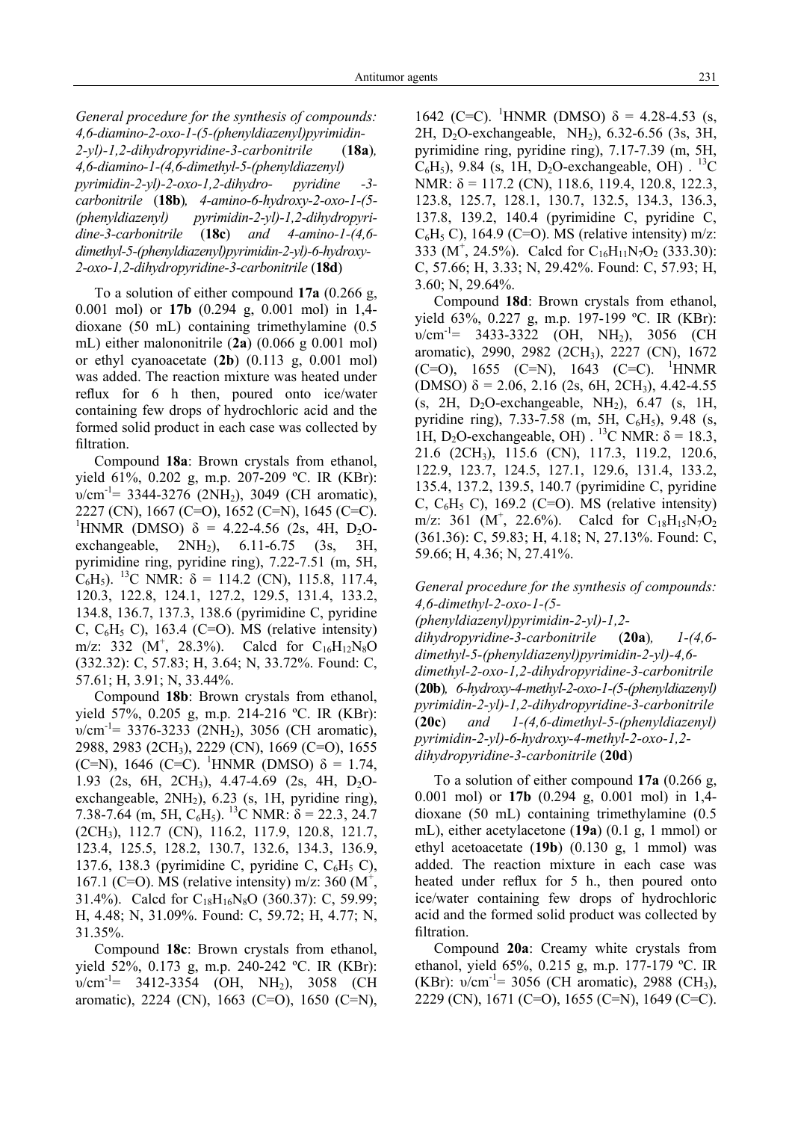*General procedure for the synthesis of compounds: 4,6-diamino-2-oxo-1-(5-(phenyldiazenyl)pyrimidin-2-yl)-1,2-dihydropyridine-3-carbonitrile* (**18a**)*, 4,6-diamino-1-(4,6-dimethyl-5-(phenyldiazenyl) pyrimidin-2-yl)-2-oxo-1,2-dihydro- pyridine -3 carbonitrile* (**18b**)*, 4-amino-6-hydroxy-2-oxo-1-(5- (phenyldiazenyl) pyrimidin-2-yl)-1,2-dihydropyridine-3-carbonitrile* (**18c**) *and 4-amino-1-(4,6 dimethyl-5-(phenyldiazenyl)pyrimidin-2-yl)-6-hydroxy-2-oxo-1,2-dihydropyridine-3-carbonitrile* (**18d**)

To a solution of either compound **17a** (0.266 g, 0.001 mol) or **17b** (0.294 g, 0.001 mol) in 1,4 dioxane (50 mL) containing trimethylamine (0.5 mL) either malononitrile (**2a**) (0.066 g 0.001 mol) or ethyl cyanoacetate (**2b**) (0.113 g, 0.001 mol) was added. The reaction mixture was heated under reflux for 6 h then, poured onto ice/water containing few drops of hydrochloric acid and the formed solid product in each case was collected by filtration.

Compound **18a**: Brown crystals from ethanol, yield 61%, 0.202 g, m.p. 207-209 ºC. IR (KBr):  $v/cm^{-1}$ = 3344-3276 (2NH<sub>2</sub>), 3049 (CH aromatic), 2227 (CN), 1667 (C=O), 1652 (C=N), 1645 (C=C). <sup>1</sup>HNMR (DMSO) δ = 4.22-4.56 (2s, 4H, D<sub>2</sub>Oexchangeable,  $2NH_2$ ),  $6.11-6.75$  (3s, 3H, pyrimidine ring, pyridine ring), 7.22-7.51 (m, 5H, C<sub>6</sub>H<sub>5</sub>). <sup>13</sup>C NMR:  $\delta$  = 114.2 (CN), 115.8, 117.4, 120.3, 122.8, 124.1, 127.2, 129.5, 131.4, 133.2, 134.8, 136.7, 137.3, 138.6 (pyrimidine C, pyridine C,  $C_6H_5$  C), 163.4 (C=O). MS (relative intensity) m/z: 332 ( $M^+$ , 28.3%). Calcd for C<sub>16</sub>H<sub>12</sub>N<sub>8</sub>O (332.32): C, 57.83; H, 3.64; N, 33.72%. Found: C, 57.61; H, 3.91; N, 33.44%.

Compound **18b**: Brown crystals from ethanol, yield 57%, 0.205 g, m.p. 214-216 ºC. IR (KBr):  $v/cm^{-1}$ = 3376-3233 (2NH<sub>2</sub>), 3056 (CH aromatic), 2988, 2983 (2CH3), 2229 (CN), 1669 (C=O), 1655 (C=N), 1646 (C=C). <sup>1</sup>HNMR (DMSO)  $\delta = 1.74$ , 1.93 (2s, 6H, 2CH<sub>3</sub>), 4.47-4.69 (2s, 4H, D<sub>2</sub>Oexchangeable,  $2NH<sub>2</sub>$ ), 6.23 (s, 1H, pyridine ring), 7.38-7.64 (m, 5H,  $C_6H_5$ ). <sup>13</sup>C NMR:  $\delta$  = 22.3, 24.7 (2CH3), 112.7 (CN), 116.2, 117.9, 120.8, 121.7, 123.4, 125.5, 128.2, 130.7, 132.6, 134.3, 136.9, 137.6, 138.3 (pyrimidine C, pyridine C,  $C_6H_5$  C), 167.1 (C=O). MS (relative intensity) m/z: 360 ( $M^+$ , 31.4%). Calcd for  $C_{18}H_{16}N_8O$  (360.37): C, 59.99; H, 4.48; N, 31.09%. Found: C, 59.72; H, 4.77; N, 31.35%.

Compound **18c**: Brown crystals from ethanol, yield 52%, 0.173 g, m.p. 240-242 ºC. IR (KBr):  $v/cm^{-1}$  = 3412-3354 (OH, NH<sub>2</sub>), 3058 (CH aromatic), 2224 (CN), 1663 (C=O), 1650 (C=N),

1642 (C=C). <sup>1</sup>HNMR (DMSO) δ = 4.28-4.53 (s, 2H, D2O-exchangeable, NH2), 6.32-6.56 (3s, 3H, pyrimidine ring, pyridine ring), 7.17-7.39 (m, 5H,  $C_6H_5$ ), 9.84 (s, 1H, D<sub>2</sub>O-exchangeable, OH) . <sup>13</sup>C NMR:  $\delta$  = 117.2 (CN), 118.6, 119.4, 120.8, 122.3, 123.8, 125.7, 128.1, 130.7, 132.5, 134.3, 136.3, 137.8, 139.2, 140.4 (pyrimidine C, pyridine C,  $C_6H_5 C$ , 164.9 (C=O). MS (relative intensity) m/z: 333 ( $M^+$ , 24.5%). Calcd for C<sub>16</sub>H<sub>11</sub>N<sub>7</sub>O<sub>2</sub> (333.30): C, 57.66; H, 3.33; N, 29.42%. Found: C, 57.93; H, 3.60; N, 29.64%.

Compound **18d**: Brown crystals from ethanol, yield 63%, 0.227 g, m.p. 197-199 ºC. IR (KBr):  $v/cm^{-1}$ = 3433-3322 (OH, NH<sub>2</sub>), 3056 (CH aromatic), 2990, 2982 (2CH<sub>3</sub>), 2227 (CN), 1672  $(C=O)$ , 1655  $(C=N)$ , 1643  $(C=C)$ . <sup>1</sup>HNMR (DMSO)  $\delta$  = 2.06, 2.16 (2s, 6H, 2CH<sub>3</sub>), 4.42-4.55  $(s, 2H, D<sub>2</sub>O-exchangeable, NH<sub>2</sub>)$ , 6.47 (s, 1H, pyridine ring), 7.33-7.58 (m, 5H,  $C_6H_5$ ), 9.48 (s, 1H, D<sub>2</sub>O-exchangeable, OH) . <sup>13</sup>C NMR:  $\delta$  = 18.3, 21.6 (2CH3), 115.6 (CN), 117.3, 119.2, 120.6, 122.9, 123.7, 124.5, 127.1, 129.6, 131.4, 133.2, 135.4, 137.2, 139.5, 140.7 (pyrimidine C, pyridine C,  $C_6H_5$ , C), 169.2 (C=O). MS (relative intensity) m/z: 361 (M<sup>+</sup>, 22.6%). Calcd for C<sub>18</sub>H<sub>15</sub>N<sub>7</sub>O<sub>2</sub> (361.36): C, 59.83; H, 4.18; N, 27.13%. Found: C, 59.66; H, 4.36; N, 27.41%.

*General procedure for the synthesis of compounds: 4,6-dimethyl-2-oxo-1-(5-*

*(phenyldiazenyl)pyrimidin-2-yl)-1,2 dihydropyridine-3-carbonitrile* (**20a**)*, 1-(4,6 dimethyl-5-(phenyldiazenyl)pyrimidin-2-yl)-4,6 dimethyl-2-oxo-1,2-dihydropyridine-3-carbonitrile*  (**20b**)*, 6-hydroxy-4-methyl-2-oxo-1-(5-(phenyldiazenyl) pyrimidin-2-yl)-1,2-dihydropyridine-3-carbonitrile*  (**20c**) *and 1-(4,6-dimethyl-5-(phenyldiazenyl) pyrimidin-2-yl)-6-hydroxy-4-methyl-2-oxo-1,2 dihydropyridine-3-carbonitrile* (**20d**)

To a solution of either compound **17a** (0.266 g, 0.001 mol) or **17b** (0.294 g, 0.001 mol) in 1,4 dioxane (50 mL) containing trimethylamine (0.5 mL), either acetylacetone (**19a**) (0.1 g, 1 mmol) or ethyl acetoacetate (**19b**) (0.130 g, 1 mmol) was added. The reaction mixture in each case was heated under reflux for 5 h., then poured onto ice/water containing few drops of hydrochloric acid and the formed solid product was collected by filtration.

Compound **20a**: Creamy white crystals from ethanol, yield 65%, 0.215 g, m.p. 177-179 ºC. IR (KBr):  $v/cm^{-1}$ = 3056 (CH aromatic), 2988 (CH<sub>3</sub>), 2229 (CN), 1671 (C=O), 1655 (C=N), 1649 (C=C).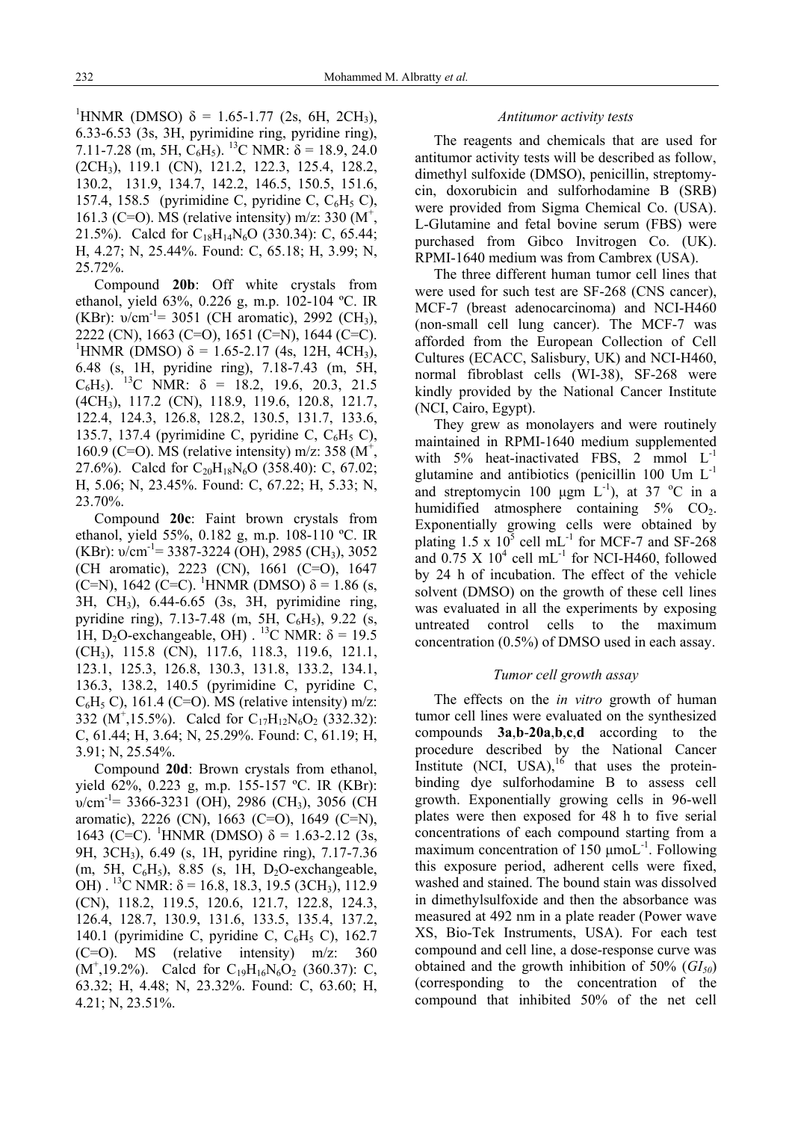<sup>1</sup>HNMR (DMSO) δ = 1.65-1.77 (2s, 6H, 2CH<sub>3</sub>), 6.33-6.53 (3s, 3H, pyrimidine ring, pyridine ring), 7.11-7.28 (m, 5H,  $C_6H_5$ ). <sup>13</sup>C NMR:  $\delta$  = 18.9, 24.0 (2CH3), 119.1 (CN), 121.2, 122.3, 125.4, 128.2, 130.2, 131.9, 134.7, 142.2, 146.5, 150.5, 151.6, 157.4, 158.5 (pyrimidine C, pyridine C,  $C_6H_5$  C), 161.3 (C=O). MS (relative intensity) m/z: 330 ( $M^+$ , 21.5%). Calcd for  $C_{18}H_{14}N_6O$  (330.34): C, 65.44; H, 4.27; N, 25.44%. Found: C, 65.18; H, 3.99; N, 25.72%.

Compound **20b**: Off white crystals from ethanol, yield 63%, 0.226 g, m.p. 102-104 ºC. IR (KBr):  $v/cm^{-1}$ = 3051 (CH aromatic), 2992 (CH<sub>3</sub>), 2222 (CN), 1663 (C=O), 1651 (C=N), 1644 (C=C). <sup>1</sup>HNMR (DMSO) δ = 1.65-2.17 (4s, 12H, 4CH<sub>3</sub>), 6.48 (s, 1H, pyridine ring), 7.18-7.43 (m, 5H,  $C_6H_5$ ). <sup>13</sup>C NMR:  $\delta$  = 18.2, 19.6, 20.3, 21.5 (4CH3), 117.2 (CN), 118.9, 119.6, 120.8, 121.7, 122.4, 124.3, 126.8, 128.2, 130.5, 131.7, 133.6, 135.7, 137.4 (pyrimidine C, pyridine C,  $C_6H_5$  C), 160.9 (C=O). MS (relative intensity) m/z: 358 ( $M^+$ , 27.6%). Calcd for  $C_{20}H_{18}N_6O$  (358.40): C, 67.02; H, 5.06; N, 23.45%. Found: C, 67.22; H, 5.33; N, 23.70%.

Compound **20c**: Faint brown crystals from ethanol, yield 55%, 0.182 g, m.p. 108-110 ºC. IR (KBr):  $v/cm^{-1}$ = 3387-3224 (OH), 2985 (CH<sub>3</sub>), 3052 (CH aromatic), 2223 (CN), 1661 (C=O), 1647 (C=N), 1642 (C=C). <sup>1</sup>HNMR (DMSO)  $\delta$  = 1.86 (s, 3H, CH3), 6.44-6.65 (3s, 3H, pyrimidine ring, pyridine ring), 7.13-7.48 (m, 5H,  $C_6H_5$ ), 9.22 (s, 1H, D<sub>2</sub>O-exchangeable, OH)  $^{13}$ C NMR:  $\delta = 19.5$ (CH3), 115.8 (CN), 117.6, 118.3, 119.6, 121.1, 123.1, 125.3, 126.8, 130.3, 131.8, 133.2, 134.1, 136.3, 138.2, 140.5 (pyrimidine C, pyridine C,  $C_6H_5 C$ , 161.4 (C=O). MS (relative intensity) m/z: 332 ( $M^+$ ,15.5%). Calcd for C<sub>17</sub>H<sub>12</sub>N<sub>6</sub>O<sub>2</sub> (332.32): C, 61.44; H, 3.64; N, 25.29%. Found: C, 61.19; H, 3.91; N, 25.54%.

Compound **20d**: Brown crystals from ethanol, yield 62%, 0.223 g, m.p. 155-157 ºC. IR (KBr):  $v/cm^{-1}$ = 3366-3231 (OH), 2986 (CH<sub>3</sub>), 3056 (CH aromatic), 2226 (CN), 1663 (C=O), 1649 (C=N), 1643 (C=C). <sup>1</sup>HNMR (DMSO) δ = 1.63-2.12 (3s, 9H, 3CH3), 6.49 (s, 1H, pyridine ring), 7.17-7.36 (m, 5H,  $C_6H_5$ ), 8.85 (s, 1H, D<sub>2</sub>O-exchangeable, OH). <sup>13</sup>C NMR:  $\delta$  = 16.8, 18.3, 19.5 (3CH<sub>3</sub>), 112.9 (CN), 118.2, 119.5, 120.6, 121.7, 122.8, 124.3, 126.4, 128.7, 130.9, 131.6, 133.5, 135.4, 137.2, 140.1 (pyrimidine C, pyridine C,  $C_6H_5$  C), 162.7 (C=O). MS (relative intensity) m/z: 360  $(M^{\dagger}, 19.2\%)$ . Calcd for C<sub>19</sub>H<sub>16</sub>N<sub>6</sub>O<sub>2</sub> (360.37): C, 63.32; H, 4.48; N, 23.32%. Found: C, 63.60; H, 4.21; N, 23.51%.

#### *Antitumor activity tests*

The reagents and chemicals that are used for antitumor activity tests will be described as follow, dimethyl sulfoxide (DMSO), penicillin, streptomycin, doxorubicin and sulforhodamine B (SRB) were provided from Sigma Chemical Co. (USA). L-Glutamine and fetal bovine serum (FBS) were purchased from Gibco Invitrogen Co. (UK). RPMI-1640 medium was from Cambrex (USA).

The three different human tumor cell lines that were used for such test are SF-268 (CNS cancer), MCF-7 (breast adenocarcinoma) and NCI-H460 (non-small cell lung cancer). The MCF-7 was afforded from the European Collection of Cell Cultures (ECACC, Salisbury, UK) and NCI-H460, normal fibroblast cells (WI-38), SF-268 were kindly provided by the National Cancer Institute (NCI, Cairo, Egypt).

They grew as monolayers and were routinely maintained in RPMI-1640 medium supplemented with  $5\%$  heat-inactivated FBS, 2 mmol  $L^{-1}$ glutamine and antibiotics (penicillin 100 Um  $L^{-1}$ and streptomycin 100  $\mu$ gm L<sup>-1</sup>), at 37 °C in a humidified atmosphere containing  $5\%$  CO<sub>2</sub>. Exponentially growing cells were obtained by plating  $1.5 \times 10^5$  cell mL<sup>-1</sup> for MCF-7 and SF-268 and  $0.75 \times 10^4$  cell mL<sup>-1</sup> for NCI-H460, followed by 24 h of incubation. The effect of the vehicle solvent (DMSO) on the growth of these cell lines was evaluated in all the experiments by exposing untreated control cells to the maximum concentration (0.5%) of DMSO used in each assay.

## *Tumor cell growth assay*

The effects on the *in vitro* growth of human tumor cell lines were evaluated on the synthesized compounds **3a**,**b**-**20a**,**b**,**c**,**d** according to the procedure described by the National Cancer Institute  $(NCI, USA)$ , <sup>16</sup> that uses the proteinbinding dye sulforhodamine B to assess cell growth. Exponentially growing cells in 96-well plates were then exposed for 48 h to five serial concentrations of each compound starting from a maximum concentration of 150  $\mu$ moL<sup>-1</sup>. Following this exposure period, adherent cells were fixed, washed and stained. The bound stain was dissolved in dimethylsulfoxide and then the absorbance was measured at 492 nm in a plate reader (Power wave XS, Bio-Tek Instruments, USA). For each test compound and cell line, a dose-response curve was obtained and the growth inhibition of  $50\%$  ( $GI<sub>50</sub>$ ) (corresponding to the concentration of the compound that inhibited 50% of the net cell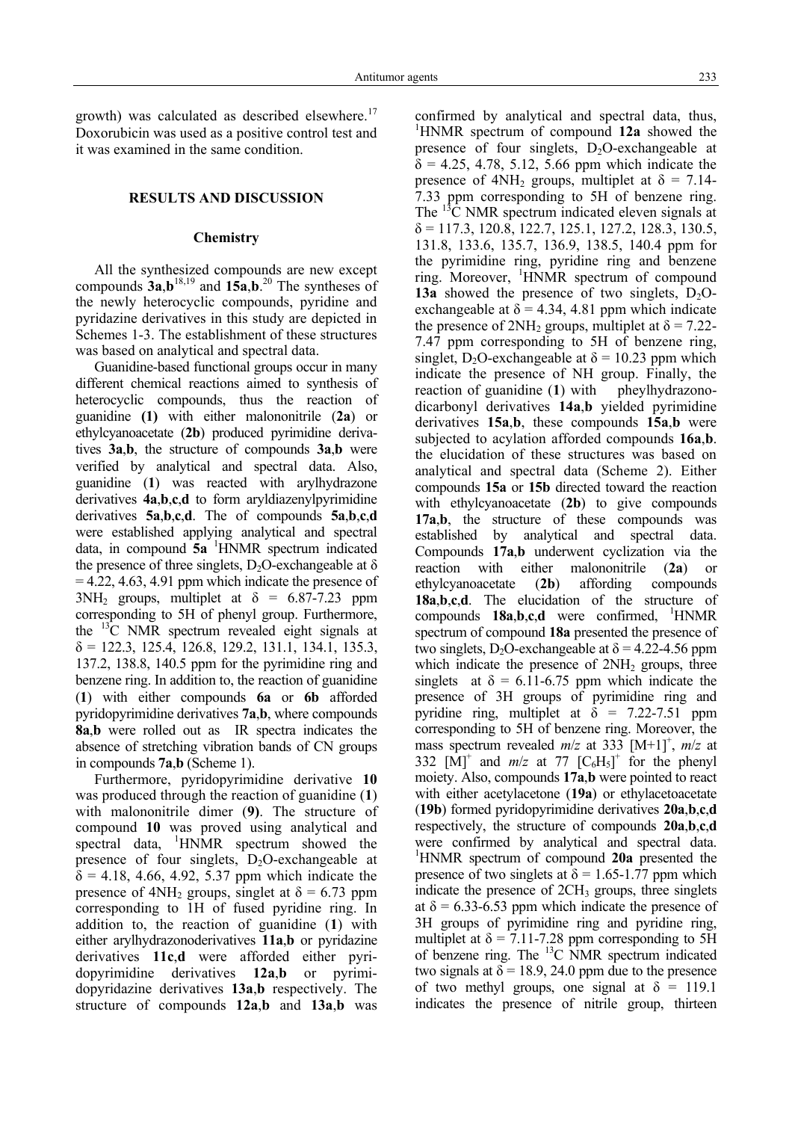growth) was calculated as described elsewhere. $17$ Doxorubicin was used as a positive control test and it was examined in the same condition.

#### **RESULTS AND DISCUSSION**

#### **Chemistry**

All the synthesized compounds are new except compounds  $3a,b^{18,19}$  and  $15a,b.^{20}$  The syntheses of the newly heterocyclic compounds, pyridine and pyridazine derivatives in this study are depicted in Schemes 1-3. The establishment of these structures was based on analytical and spectral data.

Guanidine-based functional groups occur in many different chemical reactions aimed to synthesis of heterocyclic compounds, thus the reaction of guanidine **(1)** with either malononitrile (**2a**) or ethylcyanoacetate (**2b**) produced pyrimidine derivatives **3a**,**b**, the structure of compounds **3a**,**b** were verified by analytical and spectral data. Also, guanidine (**1**) was reacted with arylhydrazone derivatives **4a**,**b**,**c**,**d** to form aryldiazenylpyrimidine derivatives **5a**,**b**,**c**,**d**. The of compounds **5a**,**b**,**c**,**d** were established applying analytical and spectral data, in compound **5a** <sup>1</sup> HNMR spectrum indicated the presence of three singlets, D<sub>2</sub>O-exchangeable at  $\delta$  $= 4.22, 4.63, 4.91$  ppm which indicate the presence of  $3NH_2$  groups, multiplet at  $\delta = 6.87 - 7.23$  ppm corresponding to 5H of phenyl group. Furthermore, the 13C NMR spectrum revealed eight signals at  $\delta = 122.3, 125.4, 126.8, 129.2, 131.1, 134.1, 135.3,$ 137.2, 138.8, 140.5 ppm for the pyrimidine ring and benzene ring. In addition to, the reaction of guanidine (**1**) with either compounds **6a** or **6b** afforded pyridopyrimidine derivatives **7a**,**b**, where compounds **8a**,**b** were rolled out as IR spectra indicates the absence of stretching vibration bands of CN groups in compounds **7a**,**b** (Scheme 1).

Furthermore, pyridopyrimidine derivative **10**  was produced through the reaction of guanidine (**1**) with malononitrile dimer (**9)**. The structure of compound **10** was proved using analytical and spectral data,  $\frac{1}{1}$ HNMR spectrum showed the presence of four singlets,  $D_2O$ -exchangeable at  $\delta = 4.18, 4.66, 4.92, 5.37$  ppm which indicate the presence of  $4NH_2$  groups, singlet at  $\delta = 6.73$  ppm corresponding to 1H of fused pyridine ring. In addition to, the reaction of guanidine (**1**) with either arylhydrazonoderivatives **11a**,**b** or pyridazine derivatives **11c**,**d** were afforded either pyridopyrimidine derivatives **12a**,**b** or pyrimidopyridazine derivatives **13a**,**b** respectively. The structure of compounds **12a**,**b** and **13a**,**b** was

confirmed by analytical and spectral data, thus, 1 HNMR spectrum of compound **12a** showed the presence of four singlets,  $D_2O$ -exchangeable at  $\delta$  = 4.25, 4.78, 5.12, 5.66 ppm which indicate the presence of  $4NH_2$  groups, multiplet at  $\delta = 7.14$ -7.33 ppm corresponding to 5H of benzene ring. The  ${}^{13}$ C NMR spectrum indicated eleven signals at  $\delta$  = 117.3, 120.8, 122.7, 125.1, 127.2, 128.3, 130.5, 131.8, 133.6, 135.7, 136.9, 138.5, 140.4 ppm for the pyrimidine ring, pyridine ring and benzene ring. Moreover, <sup>1</sup>HNMR spectrum of compound **13a** showed the presence of two singlets,  $D_2O$ exchangeable at  $\delta = 4.34$ , 4.81 ppm which indicate the presence of  $2NH_2$  groups, multiplet at  $\delta = 7.22$ -7.47 ppm corresponding to 5H of benzene ring, singlet, D<sub>2</sub>O-exchangeable at  $\delta$  = 10.23 ppm which indicate the presence of NH group. Finally, the reaction of guanidine (**1**) with pheylhydrazonodicarbonyl derivatives **14a**,**b** yielded pyrimidine derivatives **15a**,**b**, these compounds **15a**,**b** were subjected to acylation afforded compounds **16a**,**b**. the elucidation of these structures was based on analytical and spectral data (Scheme 2). Either compounds **15a** or **15b** directed toward the reaction with ethylcyanoacetate (**2b**) to give compounds **17a**,**b**, the structure of these compounds was established by analytical and spectral data. Compounds **17a**,**b** underwent cyclization via the reaction with either malononitrile (**2a**) or ethylcyanoacetate (**2b**) affording compounds **18a**,**b**,**c**,**d**. The elucidation of the structure of compounds **18a**,**b**,**c**,**d** were confirmed, <sup>1</sup> HNMR spectrum of compound **18a** presented the presence of two singlets, D<sub>2</sub>O-exchangeable at  $\delta$  = 4.22-4.56 ppm which indicate the presence of  $2NH<sub>2</sub>$  groups, three singlets at  $\delta = 6.11 - 6.75$  ppm which indicate the presence of 3H groups of pyrimidine ring and pyridine ring, multiplet at  $\delta = 7.22 - 7.51$  ppm corresponding to 5H of benzene ring. Moreover, the mass spectrum revealed  $m/z$  at 333  $[M+1]^+$ ,  $m/z$  at 332  $\left[\dot{M}\right]^+$  and  $m/z$  at 77  $\left[C_6H_5\right]^+$  for the phenyl moiety. Also, compounds **17a**,**b** were pointed to react with either acetylacetone (**19a**) or ethylacetoacetate (**19b**) formed pyridopyrimidine derivatives **20a**,**b**,**c**,**d** respectively, the structure of compounds **20a**,**b**,**c**,**d** were confirmed by analytical and spectral data. 1 HNMR spectrum of compound **20a** presented the presence of two singlets at  $\delta$  = 1.65-1.77 ppm which indicate the presence of 2CH<sub>3</sub> groups, three singlets at  $\delta$  = 6.33-6.53 ppm which indicate the presence of 3H groups of pyrimidine ring and pyridine ring, multiplet at  $\delta = 7.11$ -7.28 ppm corresponding to 5H of benzene ring. The  $^{13}$ C NMR spectrum indicated two signals at  $\delta$  = 18.9, 24.0 ppm due to the presence of two methyl groups, one signal at  $\delta = 119.1$ indicates the presence of nitrile group, thirteen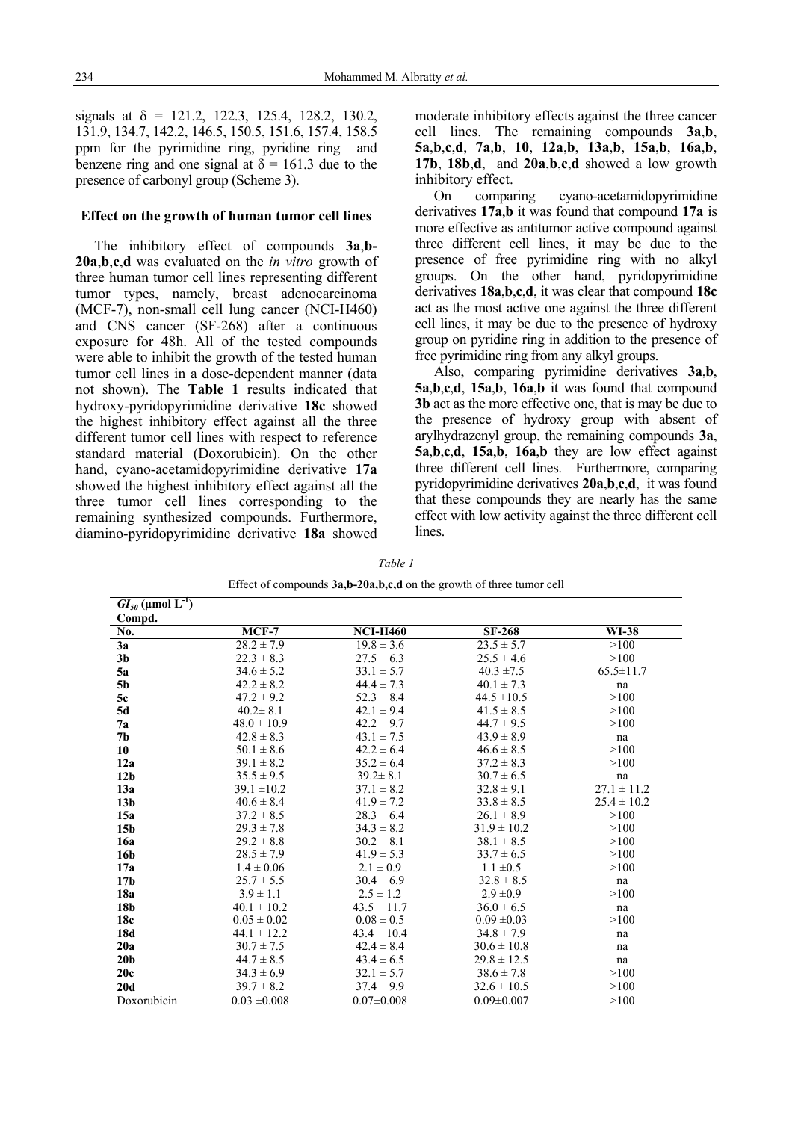signals at  $\delta = 121.2, 122.3, 125.4, 128.2, 130.2,$ 131.9, 134.7, 142.2, 146.5, 150.5, 151.6, 157.4, 158.5 ppm for the pyrimidine ring, pyridine ring and benzene ring and one signal at  $\delta = 161.3$  due to the presence of carbonyl group (Scheme 3).

#### **Effect on the growth of human tumor cell lines**

The inhibitory effect of compounds **3a**,**b-20a**,**b**,**c**,**d** was evaluated on the *in vitro* growth of three human tumor cell lines representing different tumor types, namely, breast adenocarcinoma (MCF-7), non-small cell lung cancer (NCI-H460) and CNS cancer (SF-268) after a continuous exposure for 48h. All of the tested compounds were able to inhibit the growth of the tested human tumor cell lines in a dose-dependent manner (data not shown). The **Table 1** results indicated that hydroxy-pyridopyrimidine derivative **18c** showed the highest inhibitory effect against all the three different tumor cell lines with respect to reference standard material (Doxorubicin). On the other hand, cyano-acetamidopyrimidine derivative **17a** showed the highest inhibitory effect against all the three tumor cell lines corresponding to the remaining synthesized compounds. Furthermore, diamino-pyridopyrimidine derivative **18a** showed moderate inhibitory effects against the three cancer cell lines. The remaining compounds **3a**,**b**, **5a**,**b**,**c**,**d**, **7a**,**b**, **10**, **12a**,**b**, **13a**,**b**, **15a**,**b**, **16a**,**b**, **17b**, **18b**,**d**,and **20a**,**b**,**c**,**d** showed a low growth inhibitory effect.

On comparing cyano-acetamidopyrimidine derivatives **17a**,**b** it was found that compound **17a** is more effective as antitumor active compound against three different cell lines, it may be due to the presence of free pyrimidine ring with no alkyl groups. On the other hand, pyridopyrimidine derivatives **18a**,**b**,**c**,**d**, it was clear that compound **18c** act as the most active one against the three different cell lines, it may be due to the presence of hydroxy group on pyridine ring in addition to the presence of free pyrimidine ring from any alkyl groups.

Also, comparing pyrimidine derivatives **3a**,**b**, **5a**,**b**,**c**,**d**, **15a**,**b**, **16a**,**b** it was found that compound **3b** act as the more effective one, that is may be due to the presence of hydroxy group with absent of arylhydrazenyl group, the remaining compounds **3a**, **5a**,**b**,**c**,**d**, **15a**,**b**, **16a**,**b** they are low effect against three different cell lines. Furthermore, comparing pyridopyrimidine derivatives **20a**,**b**,**c**,**d**, it was found that these compounds they are nearly has the same effect with low activity against the three different cell lines.

| Effect of compounds $3a,b-20a,b,c,d$ on the growth of three tumor cell |                  |                  |                  |                 |
|------------------------------------------------------------------------|------------------|------------------|------------------|-----------------|
| $GI_{50}$ (µmol $L^{-1}$ )                                             |                  |                  |                  |                 |
| Compd.                                                                 |                  |                  |                  |                 |
| No.                                                                    | $MCF-7$          | <b>NCI-H460</b>  | <b>SF-268</b>    | WI-38           |
| 3a                                                                     | $28.2 \pm 7.9$   | $19.8 \pm 3.6$   | $23.5 \pm 5.7$   | >100            |
| 3 <sub>b</sub>                                                         | $22.3 \pm 8.3$   | $27.5 \pm 6.3$   | $25.5 \pm 4.6$   | >100            |
| 5a                                                                     | $34.6 \pm 5.2$   | $33.1 \pm 5.7$   | $40.3 \pm 7.5$   | $65.5 \pm 11.7$ |
| <b>5b</b>                                                              | $42.2 \pm 8.2$   | $44.4 \pm 7.3$   | $40.1 \pm 7.3$   | na              |
| 5c                                                                     | $47.2 \pm 9.2$   | $52.3 \pm 8.4$   | $44.5 \pm 10.5$  | >100            |
| 5d                                                                     | $40.2 \pm 8.1$   | $42.1 \pm 9.4$   | $41.5 \pm 8.5$   | >100            |
| 7a                                                                     | $48.0 \pm 10.9$  | $42.2 \pm 9.7$   | $44.7 \pm 9.5$   | >100            |
| 7 <sub>b</sub>                                                         | $42.8 \pm 8.3$   | $43.1 \pm 7.5$   | $43.9 \pm 8.9$   | na              |
| 10                                                                     | $50.1 \pm 8.6$   | $42.2 \pm 6.4$   | $46.6 \pm 8.5$   | >100            |
| 12a                                                                    | $39.1 \pm 8.2$   | $35.2 \pm 6.4$   | $37.2 \pm 8.3$   | >100            |
| 12 <sub>b</sub>                                                        | $35.5 \pm 9.5$   | $39.2 \pm 8.1$   | $30.7 \pm 6.5$   | na              |
| 13a                                                                    | $39.1 \pm 10.2$  | $37.1 \pm 8.2$   | $32.8 \pm 9.1$   | $27.1 \pm 11.2$ |
| 13 <sub>b</sub>                                                        | $40.6 \pm 8.4$   | $41.9 \pm 7.2$   | $33.8 \pm 8.5$   | $25.4 \pm 10.2$ |
| 15a                                                                    | $37.2 \pm 8.5$   | $28.3 \pm 6.4$   | $26.1 \pm 8.9$   | >100            |
| 15 <sub>b</sub>                                                        | $29.3 \pm 7.8$   | $34.3 \pm 8.2$   | $31.9 \pm 10.2$  | >100            |
| 16a                                                                    | $29.2 \pm 8.8$   | $30.2 \pm 8.1$   | $38.1 \pm 8.5$   | >100            |
| 16b                                                                    | $28.5 \pm 7.9$   | $41.9 \pm 5.3$   | $33.7 \pm 6.5$   | >100            |
| 17a                                                                    | $1.4 \pm 0.06$   | $2.1 \pm 0.9$    | $1.1 \pm 0.5$    | >100            |
| 17 <sub>b</sub>                                                        | $25.7 \pm 5.5$   | $30.4 \pm 6.9$   | $32.8 \pm 8.5$   | na              |
| 18a                                                                    | $3.9 \pm 1.1$    | $2.5 \pm 1.2$    | $2.9 \pm 0.9$    | >100            |
| 18b                                                                    | $40.1 \pm 10.2$  | $43.5 \pm 11.7$  | $36.0 \pm 6.5$   | na              |
| 18c                                                                    | $0.05 \pm 0.02$  | $0.08 \pm 0.5$   | $0.09 \pm 0.03$  | >100            |
| 18d                                                                    | $44.1 \pm 12.2$  | $43.4 \pm 10.4$  | $34.8 \pm 7.9$   | na              |
| 20a                                                                    | $30.7 \pm 7.5$   | $42.4 \pm 8.4$   | $30.6 \pm 10.8$  | na              |
| 20 <sub>b</sub>                                                        | $44.7 \pm 8.5$   | $43.4 \pm 6.5$   | $29.8 \pm 12.5$  | na              |
| 20c                                                                    | $34.3 \pm 6.9$   | $32.1 \pm 5.7$   | $38.6 \pm 7.8$   | >100            |
| 20d                                                                    | $39.7 \pm 8.2$   | $37.4 \pm 9.9$   | $32.6 \pm 10.5$  | >100            |
| Doxorubicin                                                            | $0.03 \pm 0.008$ | $0.07 \pm 0.008$ | $0.09 \pm 0.007$ | >100            |

*Table 1*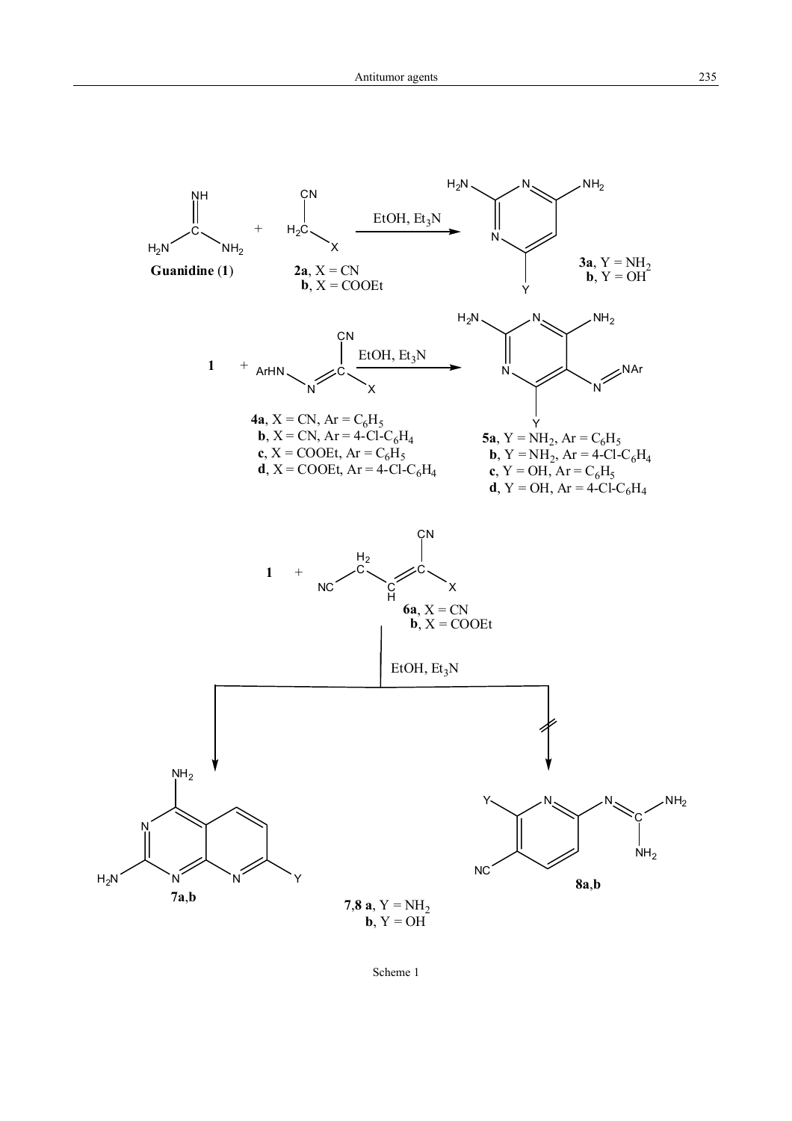

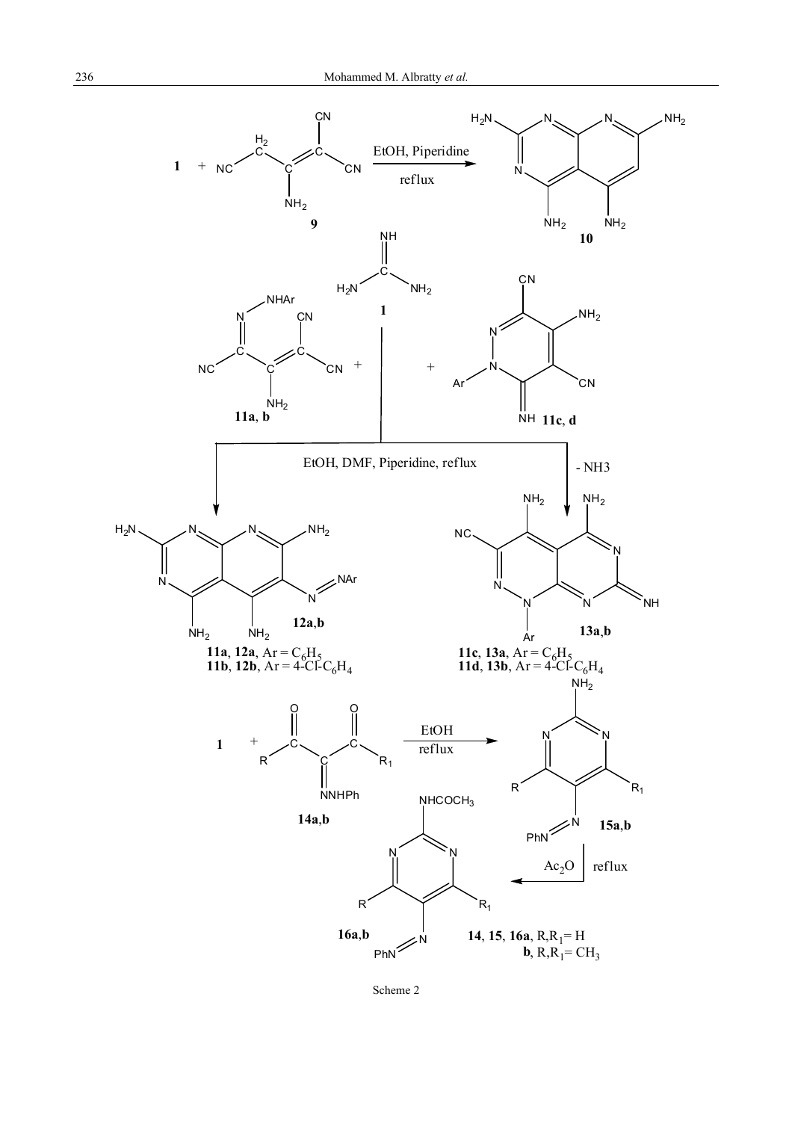

Scheme 2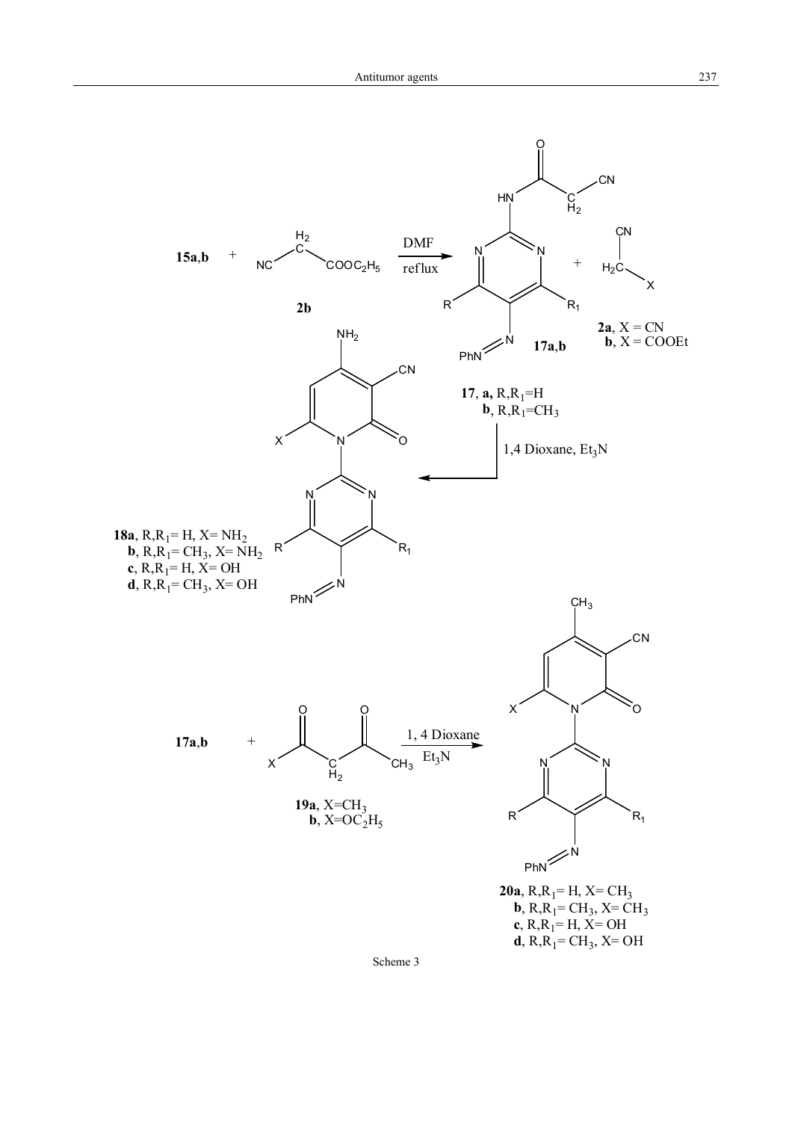